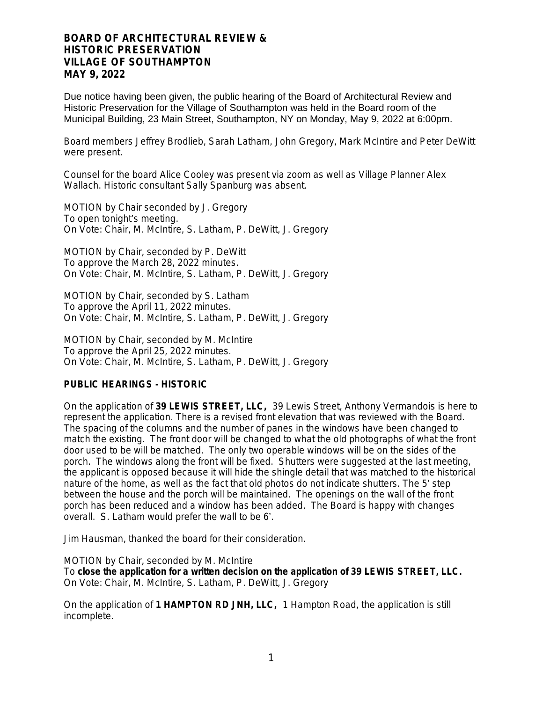Due notice having been given, the public hearing of the Board of Architectural Review and Historic Preservation for the Village of Southampton was held in the Board room of the Municipal Building, 23 Main Street, Southampton, NY on Monday, May 9, 2022 at 6:00pm.

Board members Jeffrey Brodlieb, Sarah Latham, John Gregory, Mark McIntire and Peter DeWitt were present.

Counsel for the board Alice Cooley was present via zoom as well as Village Planner Alex Wallach. Historic consultant Sally Spanburg was absent.

MOTION by Chair seconded by J. Gregory To open tonight's meeting. On Vote: Chair, M. McIntire, S. Latham, P. DeWitt, J. Gregory

MOTION by Chair, seconded by P. DeWitt To approve the March 28, 2022 minutes. On Vote: Chair, M. McIntire, S. Latham, P. DeWitt, J. Gregory

MOTION by Chair, seconded by S. Latham To approve the April 11, 2022 minutes. On Vote: Chair, M. McIntire, S. Latham, P. DeWitt, J. Gregory

MOTION by Chair, seconded by M. McIntire To approve the April 25, 2022 minutes. On Vote: Chair, M. McIntire, S. Latham, P. DeWitt, J. Gregory

## **PUBLIC HEARINGS - HISTORIC**

On the application of **39 LEWIS STREET, LLC,** 39 Lewis Street, Anthony Vermandois is here to represent the application. There is a revised front elevation that was reviewed with the Board. The spacing of the columns and the number of panes in the windows have been changed to match the existing. The front door will be changed to what the old photographs of what the front door used to be will be matched. The only two operable windows will be on the sides of the porch. The windows along the front will be fixed. Shutters were suggested at the last meeting, the applicant is opposed because it will hide the shingle detail that was matched to the historical nature of the home, as well as the fact that old photos do not indicate shutters. The 5' step between the house and the porch will be maintained. The openings on the wall of the front porch has been reduced and a window has been added. The Board is happy with changes overall. S. Latham would prefer the wall to be 6'.

Jim Hausman, thanked the board for their consideration.

MOTION by Chair, seconded by M. McIntire To **close the application for a written decision on the application of 39 LEWIS STREET, LLC.** On Vote: Chair, M. McIntire, S. Latham, P. DeWitt, J. Gregory

On the application of **1 HAMPTON RD JNH, LLC,** 1 Hampton Road, the application is still incomplete.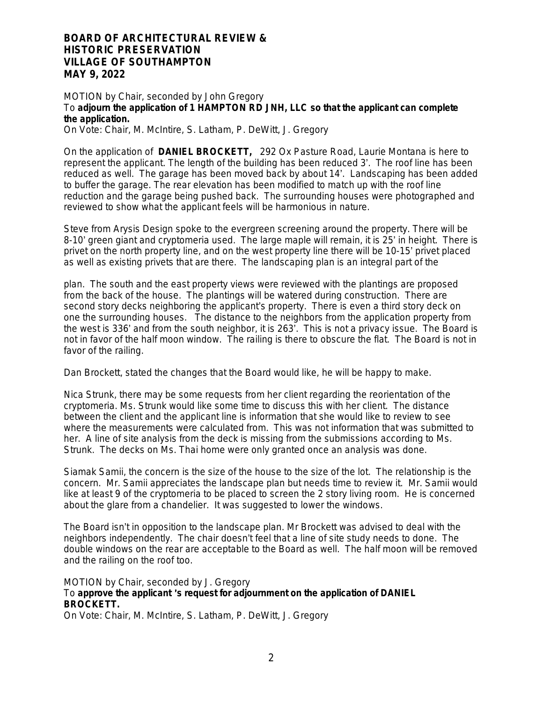MOTION by Chair, seconded by John Gregory To adiourn the application of 1 HAMPTON RD JNH, LLC so that the applicant can complete **the application.**

On Vote: Chair, M. McIntire, S. Latham, P. DeWitt, J. Gregory

On the application of **DANIEL BROCKETT,** 292 Ox Pasture Road, Laurie Montana is here to represent the applicant. The length of the building has been reduced 3'. The roof line has been reduced as well. The garage has been moved back by about 14'. Landscaping has been added to buffer the garage. The rear elevation has been modified to match up with the roof line reduction and the garage being pushed back. The surrounding houses were photographed and reviewed to show what the applicant feels will be harmonious in nature.

Steve from Arysis Design spoke to the evergreen screening around the property. There will be 8-10' green giant and cryptomeria used. The large maple will remain, it is 25' in height. There is privet on the north property line, and on the west property line there will be 10-15' privet placed as well as existing privets that are there. The landscaping plan is an integral part of the

plan. The south and the east property views were reviewed with the plantings are proposed from the back of the house. The plantings will be watered during construction. There are second story decks neighboring the applicant's property. There is even a third story deck on one the surrounding houses. The distance to the neighbors from the application property from the west is 336' and from the south neighbor, it is 263'. This is not a privacy issue. The Board is not in favor of the half moon window. The railing is there to obscure the flat. The Board is not in favor of the railing.

Dan Brockett, stated the changes that the Board would like, he will be happy to make.

Nica Strunk, there may be some requests from her client regarding the reorientation of the cryptomeria. Ms. Strunk would like some time to discuss this with her client. The distance between the client and the applicant line is information that she would like to review to see where the measurements were calculated from. This was not information that was submitted to her. A line of site analysis from the deck is missing from the submissions according to Ms. Strunk. The decks on Ms. Thai home were only granted once an analysis was done.

Siamak Samii, the concern is the size of the house to the size of the lot. The relationship is the concern. Mr. Samii appreciates the landscape plan but needs time to review it. Mr. Samii would like at least 9 of the cryptomeria to be placed to screen the 2 story living room. He is concerned about the glare from a chandelier. It was suggested to lower the windows.

The Board isn't in opposition to the landscape plan. Mr Brockett was advised to deal with the neighbors independently. The chair doesn't feel that a line of site study needs to done. The double windows on the rear are acceptable to the Board as well. The half moon will be removed and the railing on the roof too.

# MOTION by Chair, seconded by J. Gregory To **approve the applicant** '**s request for adjournment on the application of DANIEL BROCKETT.**

On Vote: Chair, M. McIntire, S. Latham, P. DeWitt, J. Gregory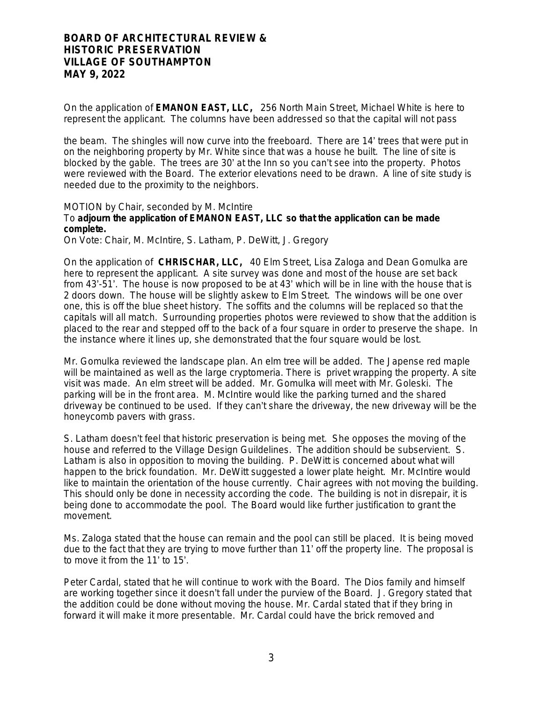On the application of **EMANON EAST, LLC,** 256 North Main Street, Michael White is here to represent the applicant. The columns have been addressed so that the capital will not pass

the beam. The shingles will now curve into the freeboard. There are 14' trees that were put in on the neighboring property by Mr. White since that was a house he built. The line of site is blocked by the gable. The trees are 30' at the Inn so you can't see into the property. Photos were reviewed with the Board. The exterior elevations need to be drawn. A line of site study is needed due to the proximity to the neighbors.

MOTION by Chair, seconded by M. McIntire

# To **adjourn the application of EMANON EAST, LLC so that the application can be made complete.**

On Vote: Chair, M. McIntire, S. Latham, P. DeWitt, J. Gregory

On the application of **CHRISCHAR, LLC,** 40 Elm Street, Lisa Zaloga and Dean Gomulka are here to represent the applicant. A site survey was done and most of the house are set back from 43'-51'. The house is now proposed to be at 43' which will be in line with the house that is 2 doors down. The house will be slightly askew to Elm Street. The windows will be one over one, this is off the blue sheet history. The soffits and the columns will be replaced so that the capitals will all match. Surrounding properties photos were reviewed to show that the addition is placed to the rear and stepped off to the back of a four square in order to preserve the shape. In the instance where it lines up, she demonstrated that the four square would be lost.

Mr. Gomulka reviewed the landscape plan. An elm tree will be added. The Japense red maple will be maintained as well as the large cryptomeria. There is privet wrapping the property. A site visit was made. An elm street will be added. Mr. Gomulka will meet with Mr. Goleski. The parking will be in the front area. M. McIntire would like the parking turned and the shared driveway be continued to be used. If they can't share the driveway, the new driveway will be the honeycomb pavers with grass.

S. Latham doesn't feel that historic preservation is being met. She opposes the moving of the house and referred to the Village Design Guildelines. The addition should be subservient. S. Latham is also in opposition to moving the building. P. DeWitt is concerned about what will happen to the brick foundation. Mr. DeWitt suggested a lower plate height. Mr. McIntire would like to maintain the orientation of the house currently. Chair agrees with not moving the building. This should only be done in necessity according the code. The building is not in disrepair, it is being done to accommodate the pool. The Board would like further justification to grant the movement.

Ms. Zaloga stated that the house can remain and the pool can still be placed. It is being moved due to the fact that they are trying to move further than 11' off the property line. The proposal is to move it from the 11' to 15'.

Peter Cardal, stated that he will continue to work with the Board. The Dios family and himself are working together since it doesn't fall under the purview of the Board. J. Gregory stated that the addition could be done without moving the house. Mr. Cardal stated that if they bring in forward it will make it more presentable. Mr. Cardal could have the brick removed and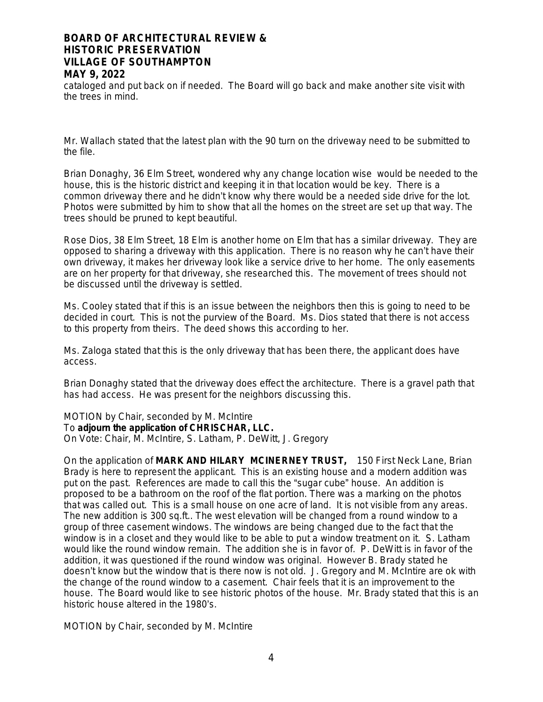cataloged and put back on if needed. The Board will go back and make another site visit with the trees in mind.

Mr. Wallach stated that the latest plan with the 90 turn on the driveway need to be submitted to the file.

Brian Donaghy, 36 Elm Street, wondered why any change location wise would be needed to the house, this is the historic district and keeping it in that location would be key. There is a common driveway there and he didn't know why there would be a needed side drive for the lot. Photos were submitted by him to show that all the homes on the street are set up that way. The trees should be pruned to kept beautiful.

Rose Dios, 38 Elm Street, 18 Elm is another home on Elm that has a similar driveway. They are opposed to sharing a driveway with this application. There is no reason why he can't have their own driveway, it makes her driveway look like a service drive to her home. The only easements are on her property for that driveway, she researched this. The movement of trees should not be discussed until the driveway is settled.

Ms. Cooley stated that if this is an issue between the neighbors then this is going to need to be decided in court. This is not the purview of the Board. Ms. Dios stated that there is not access to this property from theirs. The deed shows this according to her.

Ms. Zaloga stated that this is the only driveway that has been there, the applicant does have access.

Brian Donaghy stated that the driveway does effect the architecture. There is a gravel path that has had access. He was present for the neighbors discussing this.

MOTION by Chair, seconded by M. McIntire To **adjourn the application of CHRISCHAR, LLC.**

On Vote: Chair, M. McIntire, S. Latham, P. DeWitt, J. Gregory

On the application of **MARK AND HILARY MCINERNEY TRUST,** 150 First Neck Lane, Brian Brady is here to represent the applicant. This is an existing house and a modern addition was put on the past. References are made to call this the "sugar cube" house. An addition is proposed to be a bathroom on the roof of the flat portion. There was a marking on the photos that was called out. This is a small house on one acre of land. It is not visible from any areas. The new addition is 300 sq.ft.. The west elevation will be changed from a round window to a group of three casement windows. The windows are being changed due to the fact that the window is in a closet and they would like to be able to put a window treatment on it. S. Latham would like the round window remain. The addition she is in favor of. P. DeWitt is in favor of the addition, it was questioned if the round window was original. However B. Brady stated he doesn't know but the window that is there now is not old. J. Gregory and M. McIntire are ok with the change of the round window to a casement. Chair feels that it is an improvement to the house. The Board would like to see historic photos of the house. Mr. Brady stated that this is an historic house altered in the 1980's.

MOTION by Chair, seconded by M. McIntire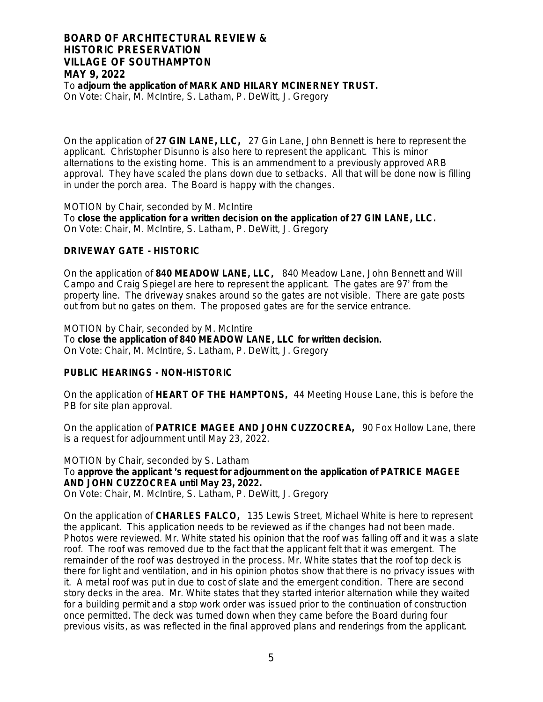To **adjourn the application of MARK AND HILARY MCINERNEY TRUST.**

On Vote: Chair, M. McIntire, S. Latham, P. DeWitt, J. Gregory

On the application of **27 GIN LANE, LLC,** 27 Gin Lane, John Bennett is here to represent the applicant. Christopher Disunno is also here to represent the applicant. This is minor alternations to the existing home. This is an ammendment to a previously approved ARB approval. They have scaled the plans down due to setbacks. All that will be done now is filling in under the porch area. The Board is happy with the changes.

MOTION by Chair, seconded by M. McIntire To **close the application for a written decision on the application of 27 GIN LANE, LLC.** On Vote: Chair, M. McIntire, S. Latham, P. DeWitt, J. Gregory

## **DRIVEWAY GATE - HISTORIC**

On the application of **840 MEADOW LANE, LLC,** 840 Meadow Lane, John Bennett and Will Campo and Craig Spiegel are here to represent the applicant. The gates are 97' from the property line. The driveway snakes around so the gates are not visible. There are gate posts out from but no gates on them. The proposed gates are for the service entrance.

MOTION by Chair, seconded by M. McIntire To **close the application of 840 MEADOW LANE, LLC for written decision.** On Vote: Chair, M. McIntire, S. Latham, P. DeWitt, J. Gregory

## **PUBLIC HEARINGS - NON-HISTORIC**

On the application of **HEART OF THE HAMPTONS,** 44 Meeting House Lane, this is before the PB for site plan approval.

On the application of **PATRICE MAGEE AND JOHN CUZZOCREA,** 90 Fox Hollow Lane, there is a request for adjournment until May 23, 2022.

MOTION by Chair, seconded by S. Latham To **approve the applicant** '**s request for adjournment on the application of PATRICE MAGEE AND JOHN CUZZOCREA until May 23, 2022.** 

On Vote: Chair, M. McIntire, S. Latham, P. DeWitt, J. Gregory

On the application of **CHARLES FALCO,** 135 Lewis Street, Michael White is here to represent the applicant. This application needs to be reviewed as if the changes had not been made. Photos were reviewed. Mr. White stated his opinion that the roof was falling off and it was a slate roof. The roof was removed due to the fact that the applicant felt that it was emergent. The remainder of the roof was destroyed in the process. Mr. White states that the roof top deck is there for light and ventilation, and in his opinion photos show that there is no privacy issues with it. A metal roof was put in due to cost of slate and the emergent condition. There are second story decks in the area. Mr. White states that they started interior alternation while they waited for a building permit and a stop work order was issued prior to the continuation of construction once permitted. The deck was turned down when they came before the Board during four previous visits, as was reflected in the final approved plans and renderings from the applicant.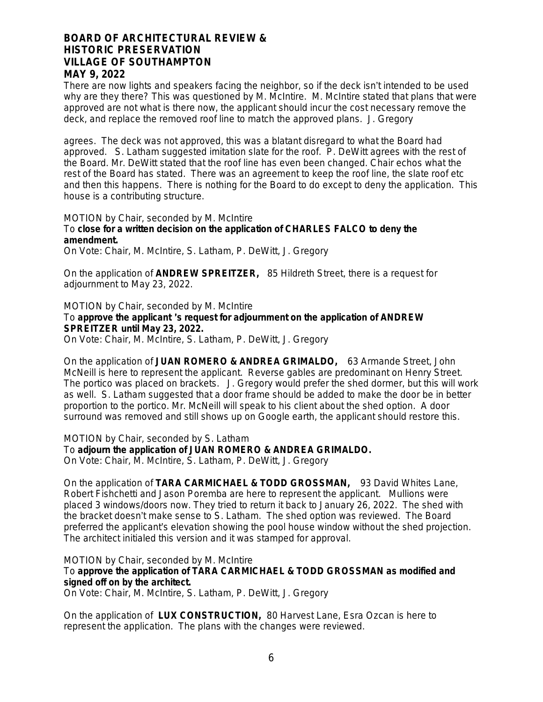There are now lights and speakers facing the neighbor, so if the deck isn't intended to be used why are they there? This was questioned by M. McIntire. M. McIntire stated that plans that were approved are not what is there now, the applicant should incur the cost necessary remove the deck, and replace the removed roof line to match the approved plans. J. Gregory

agrees. The deck was not approved, this was a blatant disregard to what the Board had approved. S. Latham suggested imitation slate for the roof. P. DeWitt agrees with the rest of the Board. Mr. DeWitt stated that the roof line has even been changed. Chair echos what the rest of the Board has stated. There was an agreement to keep the roof line, the slate roof etc and then this happens. There is nothing for the Board to do except to deny the application. This house is a contributing structure.

#### MOTION by Chair, seconded by M. McIntire

# To **close for a written decision on the application of CHARLES FALCO to deny the amendment.**

On Vote: Chair, M. McIntire, S. Latham, P. DeWitt, J. Gregory

On the application of **ANDREW SPREITZER,** 85 Hildreth Street, there is a request for adjournment to May 23, 2022.

MOTION by Chair, seconded by M. McIntire

### To **approve the applicant** '**s request for adjournment on the application of ANDREW SPREITZER until May 23, 2022.**

On Vote: Chair, M. McIntire, S. Latham, P. DeWitt, J. Gregory

On the application of **JUAN ROMERO & ANDREA GRIMALDO,** 63 Armande Street, John McNeill is here to represent the applicant. Reverse gables are predominant on Henry Street. The portico was placed on brackets. J. Gregory would prefer the shed dormer, but this will work as well. S. Latham suggested that a door frame should be added to make the door be in better proportion to the portico. Mr. McNeill will speak to his client about the shed option. A door surround was removed and still shows up on Google earth, the applicant should restore this.

MOTION by Chair, seconded by S. Latham

To **adjourn the application of JUAN ROMERO & ANDREA GRIMALDO.**

On Vote: Chair, M. McIntire, S. Latham, P. DeWitt, J. Gregory

On the application of **TARA CARMICHAEL & TODD GROSSMAN,** 93 David Whites Lane, Robert Fishchetti and Jason Poremba are here to represent the applicant. Mullions were placed 3 windows/doors now. They tried to return it back to January 26, 2022. The shed with the bracket doesn't make sense to S. Latham. The shed option was reviewed. The Board preferred the applicant's elevation showing the pool house window without the shed projection. The architect initialed this version and it was stamped for approval.

MOTION by Chair, seconded by M. McIntire

#### To **approve the application of TARA CARMICHAEL & TODD GROSSMAN as modified and signed off on by the architect.**

On Vote: Chair, M. McIntire, S. Latham, P. DeWitt, J. Gregory

On the application of **LUX CONSTRUCTION,** 80 Harvest Lane, Esra Ozcan is here to represent the application. The plans with the changes were reviewed.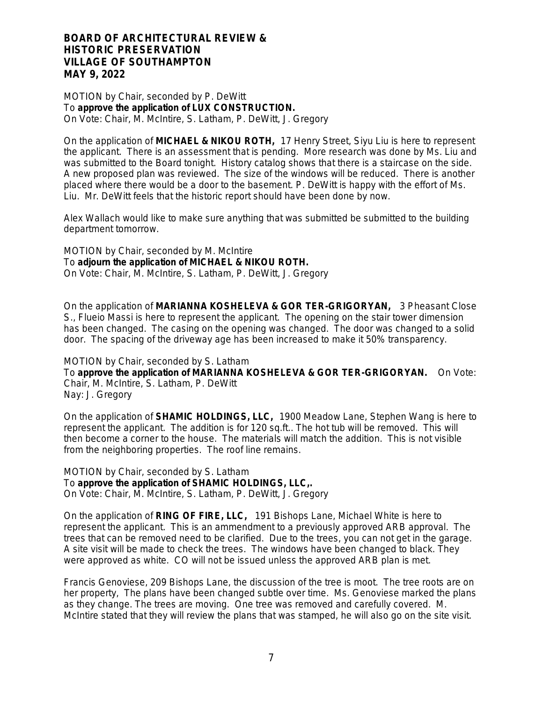MOTION by Chair, seconded by P. DeWitt To **approve the application of LUX CONSTRUCTION.** On Vote: Chair, M. McIntire, S. Latham, P. DeWitt, J. Gregory

On the application of **MICHAEL & NIKOU ROTH,** 17 Henry Street, Siyu Liu is here to represent the applicant. There is an assessment that is pending. More research was done by Ms. Liu and was submitted to the Board tonight. History catalog shows that there is a staircase on the side. A new proposed plan was reviewed. The size of the windows will be reduced. There is another placed where there would be a door to the basement. P. DeWitt is happy with the effort of Ms. Liu. Mr. DeWitt feels that the historic report should have been done by now.

Alex Wallach would like to make sure anything that was submitted be submitted to the building department tomorrow.

MOTION by Chair, seconded by M. McIntire To **adjourn the application of MICHAEL & NIKOU ROTH.** On Vote: Chair, M. McIntire, S. Latham, P. DeWitt, J. Gregory

On the application of **MARIANNA KOSHELEVA & GOR TER-GRIGORYAN,** 3 Pheasant Close S., Flueio Massi is here to represent the applicant. The opening on the stair tower dimension has been changed. The casing on the opening was changed. The door was changed to a solid door. The spacing of the driveway age has been increased to make it 50% transparency.

MOTION by Chair, seconded by S. Latham

To **approve the application of MARIANNA KOSHELEVA & GOR TER-GRIGORYAN.** On Vote: Chair, M. McIntire, S. Latham, P. DeWitt Nay: J. Gregory

On the application of **SHAMIC HOLDINGS, LLC,** 1900 Meadow Lane, Stephen Wang is here to represent the applicant. The addition is for 120 sq.ft.. The hot tub will be removed. This will then become a corner to the house. The materials will match the addition. This is not visible from the neighboring properties. The roof line remains.

MOTION by Chair, seconded by S. Latham To **approve the application of SHAMIC HOLDINGS, LLC,.** On Vote: Chair, M. McIntire, S. Latham, P. DeWitt, J. Gregory

On the application of **RING OF FIRE, LLC,** 191 Bishops Lane, Michael White is here to represent the applicant. This is an ammendment to a previously approved ARB approval. The trees that can be removed need to be clarified. Due to the trees, you can not get in the garage. A site visit will be made to check the trees. The windows have been changed to black. They were approved as white. CO will not be issued unless the approved ARB plan is met.

Francis Genoviese, 209 Bishops Lane, the discussion of the tree is moot. The tree roots are on her property, The plans have been changed subtle over time. Ms. Genoviese marked the plans as they change. The trees are moving. One tree was removed and carefully covered. M. McIntire stated that they will review the plans that was stamped, he will also go on the site visit.